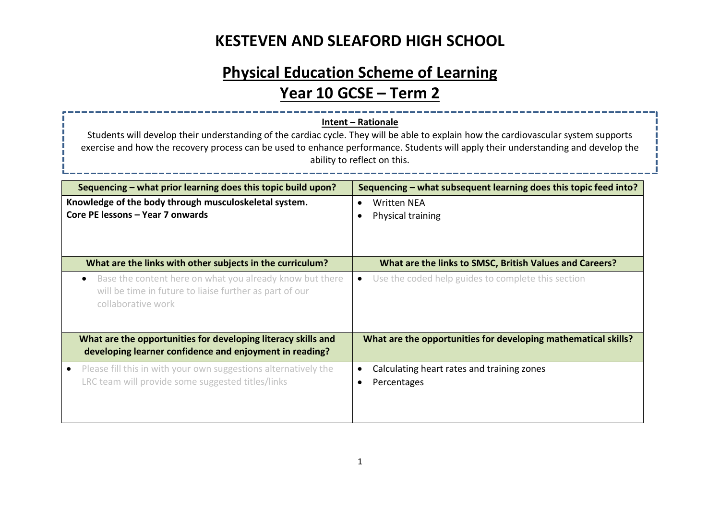# **Physical Education Scheme of Learning**

## **Year 10 GCSE – Term 2**

#### **Intent – Rationale**

Students will develop their understanding of the cardiac cycle. They will be able to explain how the cardiovascular system supports exercise and how the recovery process can be used to enhance performance. Students will apply their understanding and develop the ability to reflect on this.

| Sequencing – what prior learning does this topic build upon?                                                                                           | Sequencing – what subsequent learning does this topic feed into? |
|--------------------------------------------------------------------------------------------------------------------------------------------------------|------------------------------------------------------------------|
| Knowledge of the body through musculoskeletal system.<br>Core PE lessons - Year 7 onwards                                                              | Written NEA<br>$\bullet$<br>Physical training                    |
| What are the links with other subjects in the curriculum?                                                                                              | What are the links to SMSC, British Values and Careers?          |
| Base the content here on what you already know but there<br>$\bullet$<br>will be time in future to liaise further as part of our<br>collaborative work | Use the coded help guides to complete this section<br>$\bullet$  |
| What are the opportunities for developing literacy skills and<br>developing learner confidence and enjoyment in reading?                               | What are the opportunities for developing mathematical skills?   |
| Please fill this in with your own suggestions alternatively the<br>LRC team will provide some suggested titles/links                                   | Calculating heart rates and training zones<br>Percentages        |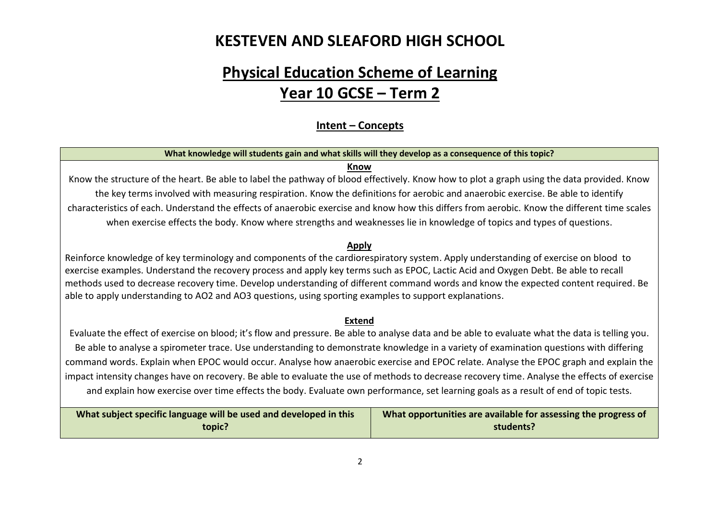## **Physical Education Scheme of Learning Year 10 GCSE – Term 2**

#### **Intent – Concepts**

#### **What knowledge will students gain and what skills will they develop as a consequence of this topic?**

#### **Know**

Know the structure of the heart. Be able to label the pathway of blood effectively. Know how to plot a graph using the data provided. Know the key terms involved with measuring respiration. Know the definitions for aerobic and anaerobic exercise. Be able to identify characteristics of each. Understand the effects of anaerobic exercise and know how this differs from aerobic. Know the different time scales when exercise effects the body. Know where strengths and weaknesses lie in knowledge of topics and types of questions.

#### **Apply**

Reinforce knowledge of key terminology and components of the cardiorespiratory system. Apply understanding of exercise on blood to exercise examples. Understand the recovery process and apply key terms such as EPOC, Lactic Acid and Oxygen Debt. Be able to recall methods used to decrease recovery time. Develop understanding of different command words and know the expected content required. Be able to apply understanding to AO2 and AO3 questions, using sporting examples to support explanations.

#### **Extend**

Evaluate the effect of exercise on blood; it's flow and pressure. Be able to analyse data and be able to evaluate what the data is telling you. Be able to analyse a spirometer trace. Use understanding to demonstrate knowledge in a variety of examination questions with differing command words. Explain when EPOC would occur. Analyse how anaerobic exercise and EPOC relate. Analyse the EPOC graph and explain the impact intensity changes have on recovery. Be able to evaluate the use of methods to decrease recovery time. Analyse the effects of exercise and explain how exercise over time effects the body. Evaluate own performance, set learning goals as a result of end of topic tests.

| What subject specific language will be used and developed in this | What opportunities are available for assessing the progress of |
|-------------------------------------------------------------------|----------------------------------------------------------------|
| topic?                                                            | students?                                                      |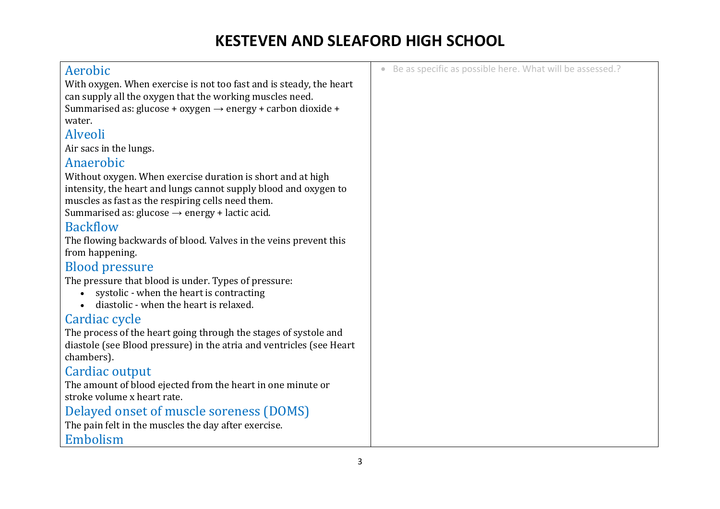| • Be as specific as possible here. What will be assessed.? |
|------------------------------------------------------------|
|                                                            |
|                                                            |
|                                                            |
|                                                            |
|                                                            |
|                                                            |
|                                                            |
|                                                            |
|                                                            |
|                                                            |
|                                                            |
|                                                            |
|                                                            |
|                                                            |
|                                                            |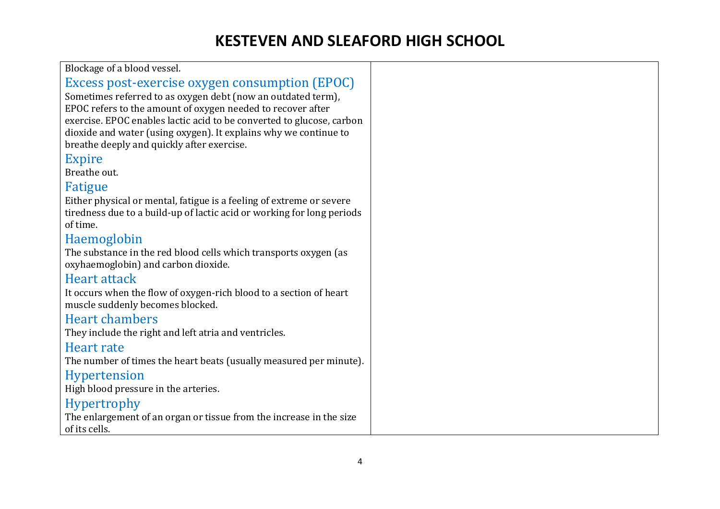| Blockage of a blood vessel.                                            |  |
|------------------------------------------------------------------------|--|
| Excess post-exercise oxygen consumption (EPOC)                         |  |
| Sometimes referred to as oxygen debt (now an outdated term),           |  |
| EPOC refers to the amount of oxygen needed to recover after            |  |
| exercise. EPOC enables lactic acid to be converted to glucose, carbon  |  |
| dioxide and water (using oxygen). It explains why we continue to       |  |
| breathe deeply and quickly after exercise.                             |  |
| <b>Expire</b>                                                          |  |
| Breathe out.                                                           |  |
| Fatigue                                                                |  |
| Either physical or mental, fatigue is a feeling of extreme or severe   |  |
| tiredness due to a build-up of lactic acid or working for long periods |  |
| of time.                                                               |  |
| Haemoglobin                                                            |  |
| The substance in the red blood cells which transports oxygen (as       |  |
| oxyhaemoglobin) and carbon dioxide.                                    |  |
| <b>Heart attack</b>                                                    |  |
| It occurs when the flow of oxygen-rich blood to a section of heart     |  |
| muscle suddenly becomes blocked.                                       |  |
| <b>Heart chambers</b>                                                  |  |
| They include the right and left atria and ventricles.                  |  |
| Heart rate                                                             |  |
| The number of times the heart beats (usually measured per minute).     |  |
| <b>Hypertension</b>                                                    |  |
| High blood pressure in the arteries.                                   |  |
| <b>Hypertrophy</b>                                                     |  |
| The enlargement of an organ or tissue from the increase in the size    |  |
| of its cells.                                                          |  |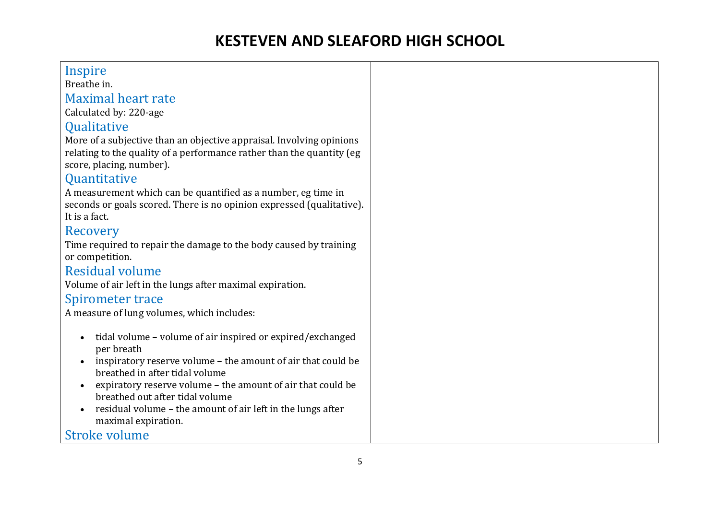### Inspire

Breathe in.

#### Maximal heart rate

Calculated by: 220-age

#### **Oualitative**

More of a subjective than an objective appraisal. Involving opinions relating to the quality of a performance rather than the quantity (eg score, placing, number).

### **Ouantitative**

A measurement which can be quantified as a number, eg time in seconds or goals scored. There is no opinion expressed (qualitative). It is a fact.

#### Recovery

Time required to repair the damage to the body caused by training or competition.

### Residual volume

Volume of air left in the lungs after maximal expiration.

#### Spirometer trace

A measure of lung volumes, which includes:

- tidal volume volume of air inspired or expired/exchanged per breath
- inspiratory reserve volume the amount of air that could be breathed in after tidal volume
- expiratory reserve volume the amount of air that could be breathed out after tidal volume
- residual volume the amount of air left in the lungs after maximal expiration.

Stroke volume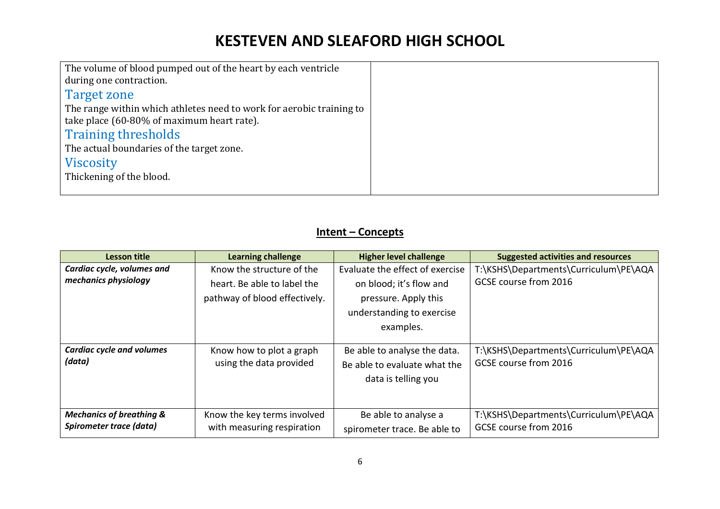| The volume of blood pumped out of the heart by each ventricle        |  |
|----------------------------------------------------------------------|--|
| during one contraction.                                              |  |
| Target zone                                                          |  |
| The range within which athletes need to work for aerobic training to |  |
| take place (60-80% of maximum heart rate).                           |  |
| <b>Training thresholds</b>                                           |  |
| The actual boundaries of the target zone.                            |  |
| <b>Viscosity</b>                                                     |  |
| Thickening of the blood.                                             |  |
|                                                                      |  |

### **Intent – Concepts**

| Lesson title                                                   | <b>Learning challenge</b>                                                                 | <b>Higher level challenge</b>                                                                                                | <b>Suggested activities and resources</b>                      |
|----------------------------------------------------------------|-------------------------------------------------------------------------------------------|------------------------------------------------------------------------------------------------------------------------------|----------------------------------------------------------------|
| Cardiac cycle, volumes and<br>mechanics physiology             | Know the structure of the<br>heart. Be able to label the<br>pathway of blood effectively. | Evaluate the effect of exercise<br>on blood; it's flow and<br>pressure. Apply this<br>understanding to exercise<br>examples. | T:\KSHS\Departments\Curriculum\PE\AQA<br>GCSE course from 2016 |
| <b>Cardiac cycle and volumes</b><br>(data)                     | Know how to plot a graph<br>using the data provided                                       | Be able to analyse the data.<br>Be able to evaluate what the<br>data is telling you                                          | T:\KSHS\Departments\Curriculum\PE\AQA<br>GCSE course from 2016 |
| <b>Mechanics of breathing &amp;</b><br>Spirometer trace (data) | Know the key terms involved<br>with measuring respiration                                 | Be able to analyse a<br>spirometer trace. Be able to                                                                         | T:\KSHS\Departments\Curriculum\PE\AQA<br>GCSE course from 2016 |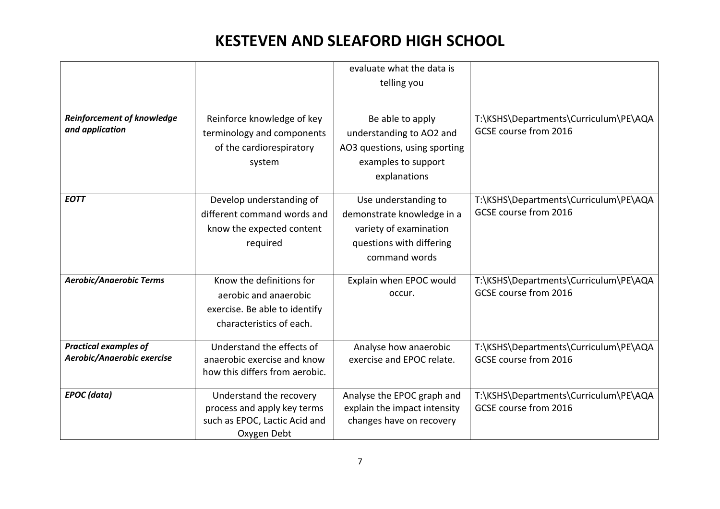|                                                            |                                                                                                                | evaluate what the data is                                                                                                 |                                                                |
|------------------------------------------------------------|----------------------------------------------------------------------------------------------------------------|---------------------------------------------------------------------------------------------------------------------------|----------------------------------------------------------------|
|                                                            |                                                                                                                | telling you                                                                                                               |                                                                |
|                                                            |                                                                                                                |                                                                                                                           |                                                                |
| <b>Reinforcement of knowledge</b><br>and application       | Reinforce knowledge of key<br>terminology and components                                                       | Be able to apply<br>understanding to AO2 and                                                                              | T:\KSHS\Departments\Curriculum\PE\AQA<br>GCSE course from 2016 |
|                                                            | of the cardiorespiratory<br>system                                                                             | AO3 questions, using sporting<br>examples to support<br>explanations                                                      |                                                                |
| <b>EOTT</b>                                                | Develop understanding of<br>different command words and<br>know the expected content<br>required               | Use understanding to<br>demonstrate knowledge in a<br>variety of examination<br>questions with differing<br>command words | T:\KSHS\Departments\Curriculum\PE\AQA<br>GCSE course from 2016 |
| <b>Aerobic/Anaerobic Terms</b>                             | Know the definitions for<br>aerobic and anaerobic<br>exercise. Be able to identify<br>characteristics of each. | Explain when EPOC would<br>occur.                                                                                         | T:\KSHS\Departments\Curriculum\PE\AQA<br>GCSE course from 2016 |
| <b>Practical examples of</b><br>Aerobic/Anaerobic exercise | Understand the effects of<br>anaerobic exercise and know<br>how this differs from aerobic.                     | Analyse how anaerobic<br>exercise and EPOC relate.                                                                        | T:\KSHS\Departments\Curriculum\PE\AQA<br>GCSE course from 2016 |
| <b>EPOC</b> (data)                                         | Understand the recovery<br>process and apply key terms<br>such as EPOC, Lactic Acid and<br>Oxygen Debt         | Analyse the EPOC graph and<br>explain the impact intensity<br>changes have on recovery                                    | T:\KSHS\Departments\Curriculum\PE\AQA<br>GCSE course from 2016 |